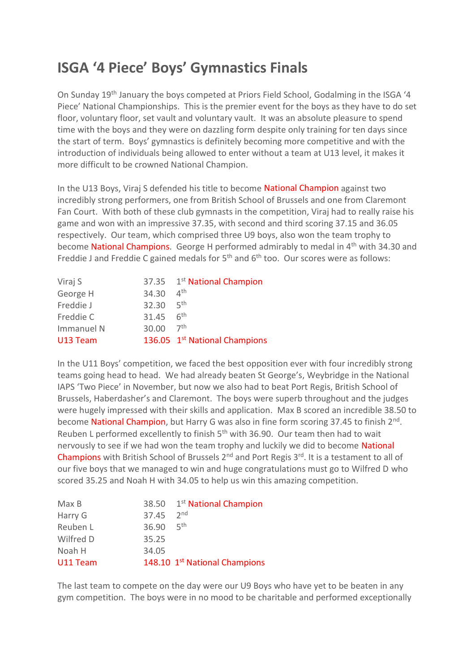## **ISGA '4 Piece' Boys' Gymnastics Finals**

On Sunday 19th January the boys competed at Priors Field School, Godalming in the ISGA '4 Piece' National Championships. This is the premier event for the boys as they have to do set floor, voluntary floor, set vault and voluntary vault. It was an absolute pleasure to spend time with the boys and they were on dazzling form despite only training for ten days since the start of term. Boys' gymnastics is definitely becoming more competitive and with the introduction of individuals being allowed to enter without a team at U13 level, it makes it more difficult to be crowned National Champion.

In the U13 Boys, Viraj S defended his title to become National Champion against two incredibly strong performers, one from British School of Brussels and one from Claremont Fan Court. With both of these club gymnasts in the competition, Viraj had to really raise his game and won with an impressive 37.35, with second and third scoring 37.15 and 36.05 respectively. Our team, which comprised three U9 boys, also won the team trophy to become National Champions. George H performed admirably to medal in  $4<sup>th</sup>$  with 34.30 and Freddie J and Freddie C gained medals for  $5<sup>th</sup>$  and  $6<sup>th</sup>$  too. Our scores were as follows:

| Viraj S    |       | 37.35 1st National Champion               |
|------------|-------|-------------------------------------------|
| George H   | 34.30 | $\Delta$ <sup>th</sup>                    |
| Freddie J  | 32.30 | _ <sub>հ</sub> th                         |
| Freddie C  | 31.45 | 6 <sup>th</sup>                           |
| Immanuel N | 30.00 | 7 <sup>th</sup>                           |
| U13 Team   |       | 136.05 1 <sup>st</sup> National Champions |

In the U11 Boys' competition, we faced the best opposition ever with four incredibly strong teams going head to head. We had already beaten St George's, Weybridge in the National IAPS 'Two Piece' in November, but now we also had to beat Port Regis, British School of Brussels, Haberdasher's and Claremont. The boys were superb throughout and the judges were hugely impressed with their skills and application. Max B scored an incredible 38.50 to become National Champion, but Harry G was also in fine form scoring 37.45 to finish 2<sup>nd</sup>. Reuben L performed excellently to finish  $5<sup>th</sup>$  with 36.90. Our team then had to wait nervously to see if we had won the team trophy and luckily we did to become National Champions with British School of Brussels  $2^{nd}$  and Port Regis  $3^{rd}$ . It is a testament to all of our five boys that we managed to win and huge congratulations must go to Wilfred D who scored 35.25 and Noah H with 34.05 to help us win this amazing competition.

| Max B     |       | 38.50 1st National Champion   |
|-----------|-------|-------------------------------|
| Harry G   | 37.45 | 2 <sub>nd</sub>               |
| Reuben L  | 36.90 | 5 <sup>th</sup>               |
| Wilfred D | 35.25 |                               |
| Noah H    | 34.05 |                               |
| U11 Team  |       | 148.10 1st National Champions |

The last team to compete on the day were our U9 Boys who have yet to be beaten in any gym competition. The boys were in no mood to be charitable and performed exceptionally